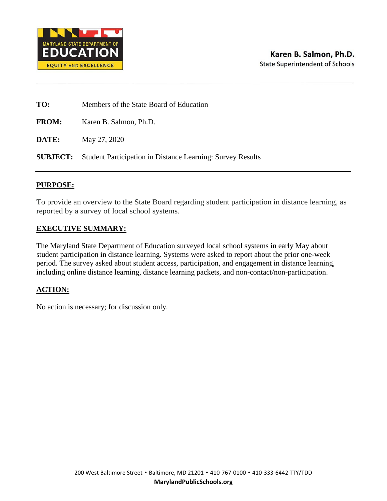

| TO:          | Members of the State Board of Education                                    |
|--------------|----------------------------------------------------------------------------|
| <b>FROM:</b> | Karen B. Salmon, Ph.D.                                                     |
| DATE:        | May 27, 2020                                                               |
|              | <b>SUBJECT:</b> Student Participation in Distance Learning: Survey Results |

### **PURPOSE:**

To provide an overview to the State Board regarding student participation in distance learning, as reported by a survey of local school systems.

#### **EXECUTIVE SUMMARY:**

The Maryland State Department of Education surveyed local school systems in early May about student participation in distance learning. Systems were asked to report about the prior one-week period. The survey asked about student access, participation, and engagement in distance learning, including online distance learning, distance learning packets, and non-contact/non-participation.

#### **ACTION:**

No action is necessary; for discussion only.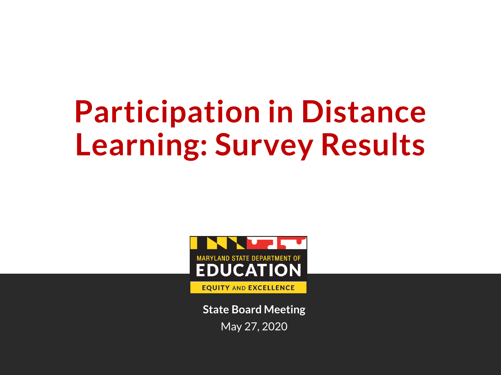# **Participation in Distance Learning: Survey Results**



**State Board Meeting** May 27, 2020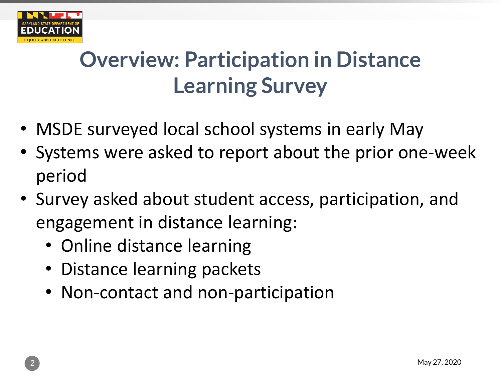

## **Overview: Participation in Distance Learning Survey**

- MSDE surveyed local school systems in early May
- Systems were asked to report about the prior one-week period
- Survey asked about student access, participation, and engagement in distance learning:
	- Online distance learning
	- Distance learning packets
	- Non-contact and non-participation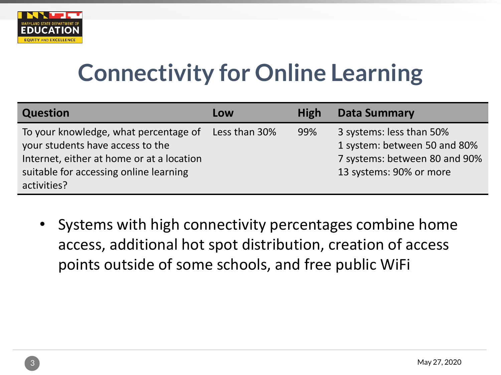

# **Connectivity for Online Learning**

| <b>Question</b>                                                                                                                                                                 | Low           | <b>High</b> | <b>Data Summary</b>                                                                                                  |
|---------------------------------------------------------------------------------------------------------------------------------------------------------------------------------|---------------|-------------|----------------------------------------------------------------------------------------------------------------------|
| To your knowledge, what percentage of<br>your students have access to the<br>Internet, either at home or at a location<br>suitable for accessing online learning<br>activities? | Less than 30% | 99%         | 3 systems: less than 50%<br>1 system: between 50 and 80%<br>7 systems: between 80 and 90%<br>13 systems: 90% or more |

• Systems with high connectivity percentages combine home access, additional hot spot distribution, creation of access points outside of some schools, and free public WiFi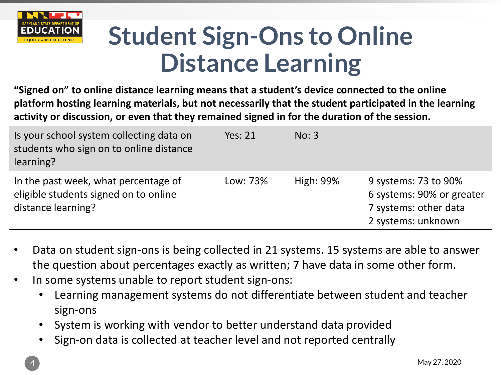

# **Student Sign-Ons to Online Distance Learning**

**"Signed on" to online distance learning means that a student's device connected to the online platform hosting learning materials, but not necessarily that the student participated in the learning activity or discussion, or even that they remained signed in for the duration of the session.**

| Is your school system collecting data on<br>students who sign on to online distance<br>learning?    | <b>Yes: 21</b> | No: 3            |                                                                                                  |
|-----------------------------------------------------------------------------------------------------|----------------|------------------|--------------------------------------------------------------------------------------------------|
| In the past week, what percentage of<br>eligible students signed on to online<br>distance learning? | Low: 73%       | <b>High: 99%</b> | 9 systems: 73 to 90%<br>6 systems: 90% or greater<br>7 systems: other data<br>2 systems: unknown |

- Data on student sign-ons is being collected in 21 systems. 15 systems are able to answer the question about percentages exactly as written; 7 have data in some other form.
- In some systems unable to report student sign-ons:
	- Learning management systems do not differentiate between student and teacher sign-ons
	- System is working with vendor to better understand data provided
	- Sign-on data is collected at teacher level and not reported centrally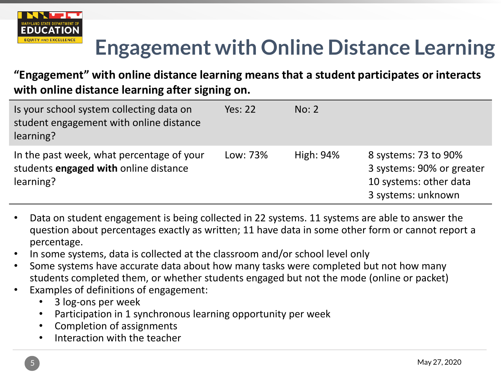

### **Engagement with Online Distance Learning**

### **"Engagement" with online distance learning means that a student participates or interacts with online distance learning after signing on.**

| Is your school system collecting data on<br>student engagement with online distance<br>learning? | <b>Yes: 22</b> | No: 2     |                                                                                                   |
|--------------------------------------------------------------------------------------------------|----------------|-----------|---------------------------------------------------------------------------------------------------|
| In the past week, what percentage of your<br>students engaged with online distance<br>learning?  | Low: 73%       | High: 94% | 8 systems: 73 to 90%<br>3 systems: 90% or greater<br>10 systems: other data<br>3 systems: unknown |

- Data on student engagement is being collected in 22 systems. 11 systems are able to answer the question about percentages exactly as written; 11 have data in some other form or cannot report a percentage.
- In some systems, data is collected at the classroom and/or school level only
- Some systems have accurate data about how many tasks were completed but not how many students completed them, or whether students engaged but not the mode (online or packet)
- Examples of definitions of engagement:
	- 3 log-ons per week
	- Participation in 1 synchronous learning opportunity per week
	- Completion of assignments
	- Interaction with the teacher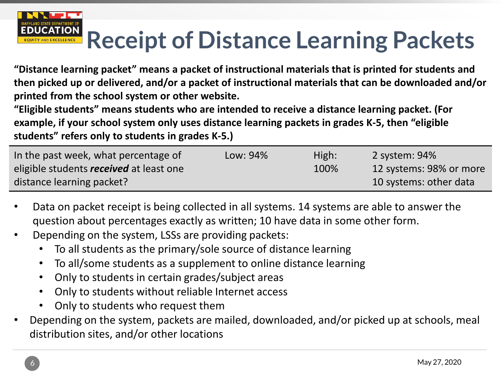# **Receipt of Distance Learning Packets**

**"Distance learning packet" means a packet of instructional materials that is printed for students and then picked up or delivered, and/or a packet of instructional materials that can be downloaded and/or printed from the school system or other website.**

**"Eligible students" means students who are intended to receive a distance learning packet. (For example, if your school system only uses distance learning packets in grades K-5, then "eligible students" refers only to students in grades K-5.)**

| In the past week, what percentage of           | Low: 94% | High: | 2 system: 94%           |
|------------------------------------------------|----------|-------|-------------------------|
| eligible students <i>received</i> at least one |          | 100%  | 12 systems: 98% or more |
| distance learning packet?                      |          |       | 10 systems: other data  |

- Data on packet receipt is being collected in all systems. 14 systems are able to answer the question about percentages exactly as written; 10 have data in some other form.
- Depending on the system, LSSs are providing packets:
	- To all students as the primary/sole source of distance learning
	- To all/some students as a supplement to online distance learning
	- Only to students in certain grades/subject areas
	- Only to students without reliable Internet access
	- Only to students who request them
- Depending on the system, packets are mailed, downloaded, and/or picked up at schools, meal distribution sites, and/or other locations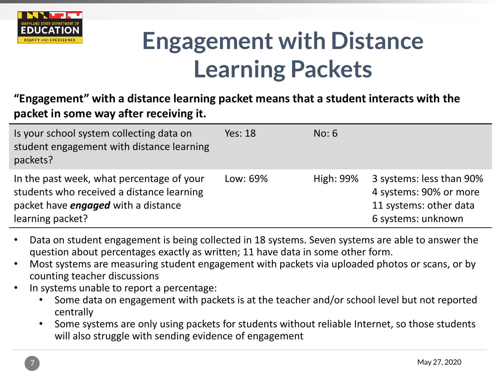

# **Engagement with Distance Learning Packets**

**"Engagement" with a distance learning packet means that a student interacts with the packet in some way after receiving it.**

| Is your school system collecting data on<br>student engagement with distance learning<br>packets?                                                        | <b>Yes: 18</b> | No: 6     |                                                                                                    |
|----------------------------------------------------------------------------------------------------------------------------------------------------------|----------------|-----------|----------------------------------------------------------------------------------------------------|
| In the past week, what percentage of your<br>students who received a distance learning<br>packet have <i>engaged</i> with a distance<br>learning packet? | Low: 69%       | High: 99% | 3 systems: less than 90%<br>4 systems: 90% or more<br>11 systems: other data<br>6 systems: unknown |

- Data on student engagement is being collected in 18 systems. Seven systems are able to answer the question about percentages exactly as written; 11 have data in some other form.
- Most systems are measuring student engagement with packets via uploaded photos or scans, or by counting teacher discussions
- In systems unable to report a percentage:
	- Some data on engagement with packets is at the teacher and/or school level but not reported centrally
	- Some systems are only using packets for students without reliable Internet, so those students will also struggle with sending evidence of engagement